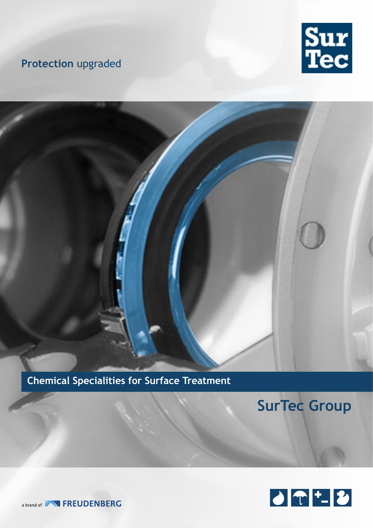# **Protection** upgraded





**Chemical Specialities for Surface Treatment**

# **SurTec Group**

![](_page_0_Picture_5.jpeg)

a brand of **NN** FREUDENBERG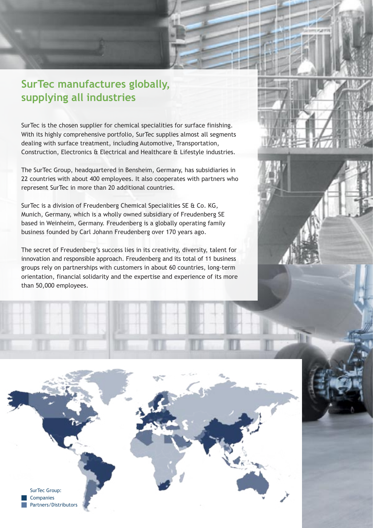# **SurTec manufactures globally, supplying all industries**

SurTec is the chosen supplier for chemical specialities for surface finishing. With its highly comprehensive portfolio, SurTec supplies almost all segments dealing with surface treatment, including Automotive, Transportation, Construction, Electronics & Electrical and Healthcare & Lifestyle industries.

The SurTec Group, headquartered in Bensheim, Germany, has subsidiaries in 22 countries with about 400 employees. It also cooperates with partners who represent SurTec in more than 20 additional countries.

SurTec is a division of Freudenberg Chemical Specialities SE & Co. KG, Munich, Germany, which is a wholly owned subsidiary of Freudenberg SE based in Weinheim, Germany. Freudenberg is a globally operating family business founded by Carl Johann Freudenberg over 170 years ago.

The secret of Freudenberg's success lies in its creativity, diversity, talent for innovation and responsible approach. Freudenberg and its total of 11 business groups rely on partnerships with customers in about 60 countries, long-term orientation, financial solidarity and the expertise and experience of its more than 50,000 employees.

![](_page_1_Picture_5.jpeg)

![](_page_1_Picture_6.jpeg)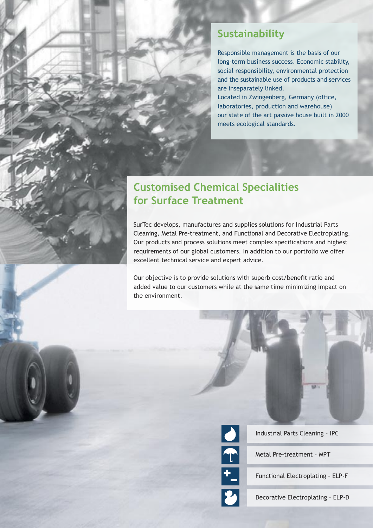### **Sustainability**

Responsible management is the basis of our long-term business success. Economic stability, social responsibility, environmental protection and the sustainable use of products and services are inseparately linked.

Located in Zwingenberg, Germany (office, laboratories, production and warehouse) our state of the art passive house built in 2000 meets ecological standards.

# **Customised Chemical Specialities for Surface Treatment**

SurTec develops, manufactures and supplies solutions for Industrial Parts Cleaning, Metal Pre-treatment, and Functional and Decorative Electroplating. Our products and process solutions meet complex specifications and highest requirements of our global customers. In addition to our portfolio we offer excellent technical service and expert advice.

Our objective is to provide solutions with superb cost/benefit ratio and added value to our customers while at the same time minimizing impact on the environment.

![](_page_2_Picture_6.jpeg)

Industrial Parts Cleaning – IPC

Metal Pre-treatment – MPT

![](_page_2_Picture_9.jpeg)

Functional Electroplating – ELP-F

Decorative Electroplating – ELP-D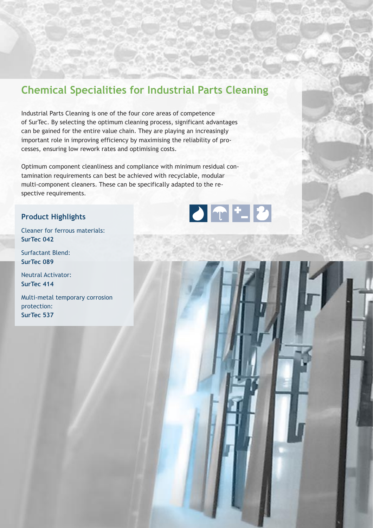### **Chemical Specialities for Industrial Parts Cleaning**

Industrial Parts Cleaning is one of the four core areas of competence of SurTec. By selecting the optimum cleaning process, significant advantages can be gained for the entire value chain. They are playing an increasingly important role in improving efficiency by maximising the reliability of processes, ensuring low rework rates and optimising costs.

Optimum component cleanliness and compliance with minimum residual contamination requirements can best be achieved with recyclable, modular multi-component cleaners. These can be specifically adapted to the respective requirements.

### **Product Highlights**

Cleaner for ferrous materials: **SurTec 042**

Surfactant Blend: **SurTec 089** 

Neutral Activator: **SurTec 414**

Multi-metal temporary corrosion protection: **SurTec 537**

![](_page_3_Picture_8.jpeg)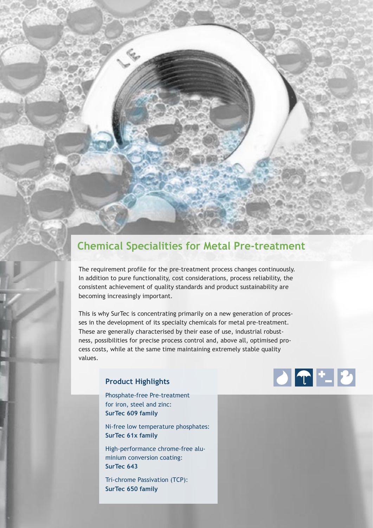# **Chemical Specialities for Metal Pre-treatment**

The requirement profile for the pre-treatment process changes continuously. In addition to pure functionality, cost considerations, process reliability, the consistent achievement of quality standards and product sustainability are becoming increasingly important.

This is why SurTec is concentrating primarily on a new generation of processes in the development of its specialty chemicals for metal pre-treatment. These are generally characterised by their ease of use, industrial robustness, possibilities for precise process control and, above all, optimised process costs, while at the same time maintaining extremely stable quality values.

### **Product Highlights**

Phosphate-free Pre-treatment for iron, steel and zinc: **SurTec 609 family** 

Ni-free low temperature phosphates: **SurTec 61x family**

High-performance chrome-free aluminium conversion coating: **SurTec 643**

Tri-chrome Passivation (TCP): **SurTec 650 family**

![](_page_4_Picture_8.jpeg)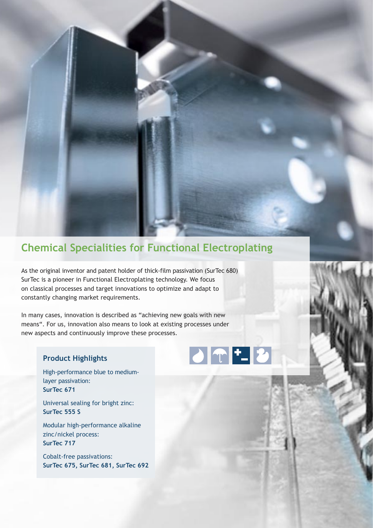# **Chemical Specialities for Functional Electroplating**

As the original inventor and patent holder of thick-film passivation (SurTec 680) SurTec is a pioneer in Functional Electroplating technology. We focus on classical processes and target innovations to optimize and adapt to constantly changing market requirements.

In many cases, innovation is described as "achieving new goals with new means". For us, innovation also means to look at existing processes under new aspects and continuously improve these processes.

#### **Product Highlights**

High-performance blue to mediumlayer passivation: **SurTec 671**

Universal sealing for bright zinc: **SurTec 555 S**

Modular high-performance alkaline zinc/nickel process: **SurTec 717**

Cobalt-free passivations: **SurTec 675, SurTec 681, SurTec 692**

![](_page_5_Picture_8.jpeg)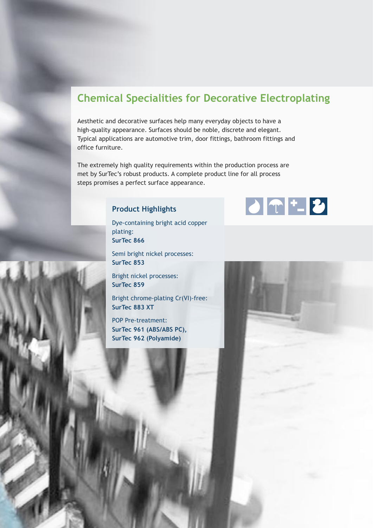### **Chemical Specialities for Decorative Electroplating**

Aesthetic and decorative surfaces help many everyday objects to have a high-quality appearance. Surfaces should be noble, discrete and elegant. Typical applications are automotive trim, door fittings, bathroom fittings and office furniture.

The extremely high quality requirements within the production process are met by SurTec's robust products. A complete product line for all process steps promises a perfect surface appearance.

### **Product Highlights**

Dye-containing bright acid copper plating: **SurTec 866**

Semi bright nickel processes: **SurTec 853**

Bright nickel processes: **SurTec 859**

Bright chrome-plating Cr(VI)-free: **SurTec 883 XT**

POP Pre-treatment: **SurTec 961 (ABS/ABS PC), SurTec 962 (Polyamide)** 

![](_page_6_Picture_9.jpeg)

![](_page_6_Picture_10.jpeg)